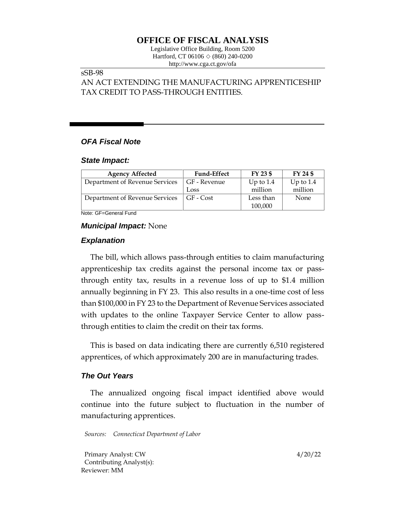# **OFFICE OF FISCAL ANALYSIS**

Legislative Office Building, Room 5200 Hartford, CT 06106  $\Diamond$  (860) 240-0200 http://www.cga.ct.gov/ofa

# sSB-98

AN ACT EXTENDING THE MANUFACTURING APPRENTICESHIP TAX CREDIT TO PASS-THROUGH ENTITIES.

# *OFA Fiscal Note*

#### *State Impact:*

| <b>Agency Affected</b>         | <b>Fund-Effect</b> | FY 23 \$    | FY 24 \$    |
|--------------------------------|--------------------|-------------|-------------|
| Department of Revenue Services | GF - Revenue       | Up to $1.4$ | Up to $1.4$ |
|                                | Loss               | million     | million     |
| Department of Revenue Services | GF - Cost          | Less than   | None        |
|                                |                    | 100,000     |             |

Note: GF=General Fund

# *Municipal Impact:* None

# *Explanation*

The bill, which allows pass-through entities to claim manufacturing apprenticeship tax credits against the personal income tax or passthrough entity tax, results in a revenue loss of up to \$1.4 million annually beginning in FY 23. This also results in a one-time cost of less than \$100,000 in FY 23 to the Department of Revenue Services associated with updates to the online Taxpayer Service Center to allow passthrough entities to claim the credit on their tax forms.

This is based on data indicating there are currently 6,510 registered apprentices, of which approximately 200 are in manufacturing trades.

# *The Out Years*

The annualized ongoing fiscal impact identified above would continue into the future subject to fluctuation in the number of manufacturing apprentices.

*Sources: Connecticut Department of Labor*

Primary Analyst: CW 4/20/22 Contributing Analyst(s): Reviewer: MM